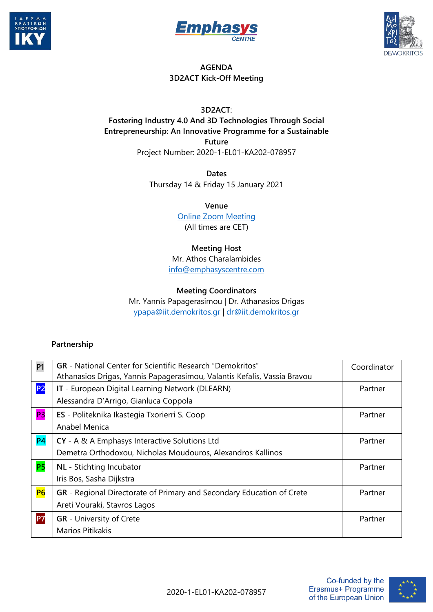





## **AGENDA 3D2ACT Kick-Off Meeting**

**3D2ACT**: **Fostering Industry 4.0 And 3D Technologies Through Social Entrepreneurship: An Innovative Programme for a Sustainable Future** Project Number: 2020-1-EL01-KA202-078957

> **Dates** Thursday 14 & Friday 15 January 2021

> > **Venue**

[Online Zoom Meeting](https://us02web.zoom.us/j/88568652980?pwd=OGVMQitpUGMrZlJlOWtESENFYzRMZz09) (All times are CET)

## **Meeting Host**

Mr. Athos Charalambides [info@emphasyscentre.com](mailto:info@emphasyscentre.com)

## **Meeting Coordinators**

Mr. Yannis Papagerasimou | Dr. Athanasios Drigas [ypapa@iit.demokritos.gr](mailto:ypapa@iit.demokritos.gr) | [dr@iit.demokritos.gr](mailto:dr@iit.demokritos.gr)

## **Partnership**

| <b>P1</b>      | <b>GR</b> - National Center for Scientific Research "Demokritos"                                                                                                     | Coordinator |
|----------------|----------------------------------------------------------------------------------------------------------------------------------------------------------------------|-------------|
| <b>P2</b>      | Athanasios Drigas, Yannis Papagerasimou, Valantis Kefalis, Vassia Bravou<br>IT - European Digital Learning Network (DLEARN)<br>Alessandra D'Arrigo, Gianluca Coppola | Partner     |
| P <sub>3</sub> | ES - Politeknika Ikastegia Txorierri S. Coop<br>Anabel Menica                                                                                                        | Partner     |
| <b>P4</b>      | CY - A & A Emphasys Interactive Solutions Ltd<br>Demetra Orthodoxou, Nicholas Moudouros, Alexandros Kallinos                                                         | Partner     |
| <b>P5</b>      | NL - Stichting Incubator<br>Iris Bos, Sasha Dijkstra                                                                                                                 | Partner     |
| <b>P6</b>      | GR - Regional Directorate of Primary and Secondary Education of Crete<br>Areti Vouraki, Stavros Lagos                                                                | Partner     |
| P7             | <b>GR</b> - University of Crete<br>Marios Pitikakis                                                                                                                  | Partner     |

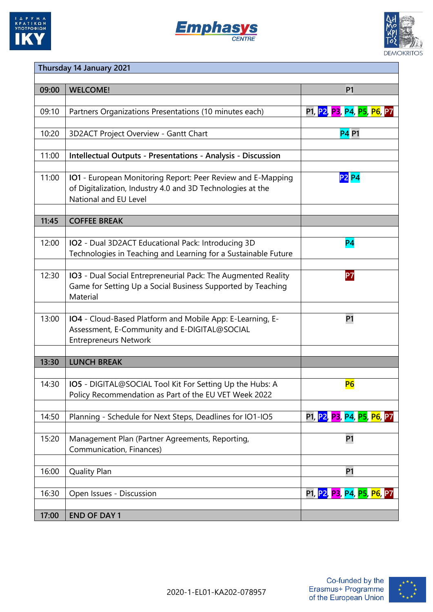





| Thursday 14 January 2021 |                                                                                                                                                           |                                         |  |
|--------------------------|-----------------------------------------------------------------------------------------------------------------------------------------------------------|-----------------------------------------|--|
|                          |                                                                                                                                                           |                                         |  |
| 09:00                    | <b>WELCOME!</b>                                                                                                                                           | P <sub>1</sub>                          |  |
| 09:10                    | Partners Organizations Presentations (10 minutes each)                                                                                                    | P1, <mark>P2, P3, P4, P5, P6, P7</mark> |  |
| 10:20                    | 3D2ACT Project Overview - Gantt Chart                                                                                                                     | <b>P4 P1</b>                            |  |
| 11:00                    | <b>Intellectual Outputs - Presentations - Analysis - Discussion</b>                                                                                       |                                         |  |
| 11:00                    | <b>IO1</b> - European Monitoring Report: Peer Review and E-Mapping<br>of Digitalization, Industry 4.0 and 3D Technologies at the<br>National and EU Level | <b>P2 P4</b>                            |  |
| 11:45                    | <b>COFFEE BREAK</b>                                                                                                                                       |                                         |  |
|                          |                                                                                                                                                           |                                         |  |
| 12:00                    | IO2 - Dual 3D2ACT Educational Pack: Introducing 3D<br>Technologies in Teaching and Learning for a Sustainable Future                                      | P <sub>4</sub>                          |  |
| 12:30                    | IO3 - Dual Social Entrepreneurial Pack: The Augmented Reality<br>Game for Setting Up a Social Business Supported by Teaching<br>Material                  | P7                                      |  |
| 13:00                    | IO4 - Cloud-Based Platform and Mobile App: E-Learning, E-<br>Assessment, E-Community and E-DIGITAL@SOCIAL<br><b>Entrepreneurs Network</b>                 | <b>P1</b>                               |  |
| 13:30                    | <b>LUNCH BREAK</b>                                                                                                                                        |                                         |  |
|                          |                                                                                                                                                           |                                         |  |
| 14:30                    | IO5 - DIGITAL@SOCIAL Tool Kit For Setting Up the Hubs: A<br>Policy Recommendation as Part of the EU VET Week 2022                                         | <b>P6</b>                               |  |
| 14:50                    |                                                                                                                                                           |                                         |  |
|                          | Planning - Schedule for Next Steps, Deadlines for IO1-IO5                                                                                                 | P1, <mark>P2, P3, P4, P5, P6,</mark> P7 |  |
| 15:20                    | Management Plan (Partner Agreements, Reporting,<br>Communication, Finances)                                                                               | <b>P1</b>                               |  |
|                          |                                                                                                                                                           |                                         |  |
| 16:00                    | <b>Quality Plan</b>                                                                                                                                       | <b>P1</b>                               |  |
| 16:30                    | Open Issues - Discussion                                                                                                                                  | P1, <mark>P2, P3, P4, P5, P6,</mark> P7 |  |
| 17:00                    | <b>END OF DAY 1</b>                                                                                                                                       |                                         |  |